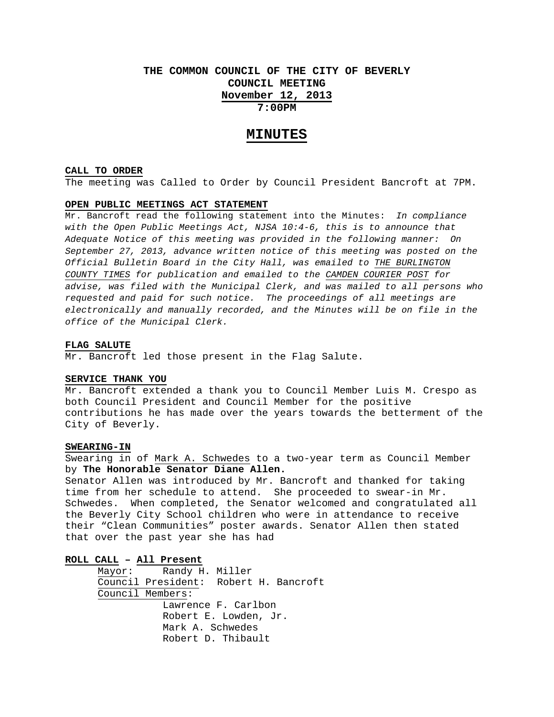# **THE COMMON COUNCIL OF THE CITY OF BEVERLY COUNCIL MEETING November 12, 2013 7:00PM**

## **MINUTES**

#### **CALL TO ORDER**

The meeting was Called to Order by Council President Bancroft at 7PM.

## **OPEN PUBLIC MEETINGS ACT STATEMENT**

Mr. Bancroft read the following statement into the Minutes: *In compliance with the Open Public Meetings Act, NJSA 10:4-6, this is to announce that Adequate Notice of this meeting was provided in the following manner: On September 27, 2013, advance written notice of this meeting was posted on the Official Bulletin Board in the City Hall, was emailed to THE BURLINGTON COUNTY TIMES for publication and emailed to the CAMDEN COURIER POST for advise, was filed with the Municipal Clerk, and was mailed to all persons who requested and paid for such notice. The proceedings of all meetings are electronically and manually recorded, and the Minutes will be on file in the office of the Municipal Clerk.* 

#### **FLAG SALUTE**

Mr. Bancroft led those present in the Flag Salute.

#### **SERVICE THANK YOU**

Mr. Bancroft extended a thank you to Council Member Luis M. Crespo as both Council President and Council Member for the positive contributions he has made over the years towards the betterment of the City of Beverly.

## **SWEARING-IN**

Swearing in of Mark A. Schwedes to a two-year term as Council Member by **The Honorable Senator Diane Allen.** 

Senator Allen was introduced by Mr. Bancroft and thanked for taking time from her schedule to attend. She proceeded to swear-in Mr. Schwedes. When completed, the Senator welcomed and congratulated all the Beverly City School children who were in attendance to receive their "Clean Communities" poster awards. Senator Allen then stated that over the past year she has had

## **ROLL CALL – All Present**

 Mayor: Randy H. Miller Council President: Robert H. Bancroft Council Members: Lawrence F. Carlbon Robert E. Lowden, Jr. Mark A. Schwedes Robert D. Thibault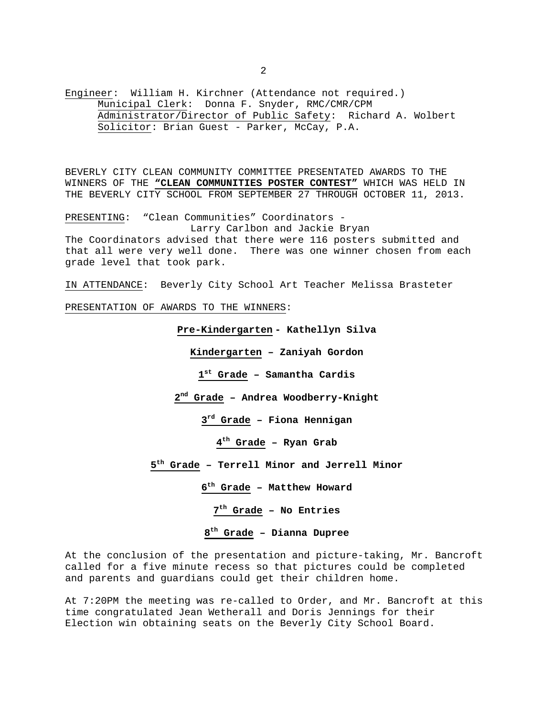Engineer: William H. Kirchner (Attendance not required.) Municipal Clerk: Donna F. Snyder, RMC/CMR/CPM Administrator/Director of Public Safety: Richard A. Wolbert Solicitor: Brian Guest - Parker, McCay, P.A.

BEVERLY CITY CLEAN COMMUNITY COMMITTEE PRESENTATED AWARDS TO THE WINNERS OF THE **"CLEAN COMMUNITIES POSTER CONTEST"** WHICH WAS HELD IN THE BEVERLY CITY SCHOOL FROM SEPTEMBER 27 THROUGH OCTOBER 11, 2013.

PRESENTING: "Clean Communities" Coordinators - Larry Carlbon and Jackie Bryan The Coordinators advised that there were 116 posters submitted and that all were very well done. There was one winner chosen from each grade level that took park.

IN ATTENDANCE: Beverly City School Art Teacher Melissa Brasteter

PRESENTATION OF AWARDS TO THE WINNERS:

**Pre-Kindergarten - Kathellyn Silva Kindergarten – Zaniyah Gordon st Grade – Samantha Cardis nd Grade – Andrea Woodberry-Knight rd Grade – Fiona Hennigan th Grade – Ryan Grab th Grade – Terrell Minor and Jerrell Minor th Grade – Matthew Howard th Grade – No Entries th Grade – Dianna Dupree** 

At the conclusion of the presentation and picture-taking, Mr. Bancroft called for a five minute recess so that pictures could be completed and parents and guardians could get their children home.

At 7:20PM the meeting was re-called to Order, and Mr. Bancroft at this time congratulated Jean Wetherall and Doris Jennings for their Election win obtaining seats on the Beverly City School Board.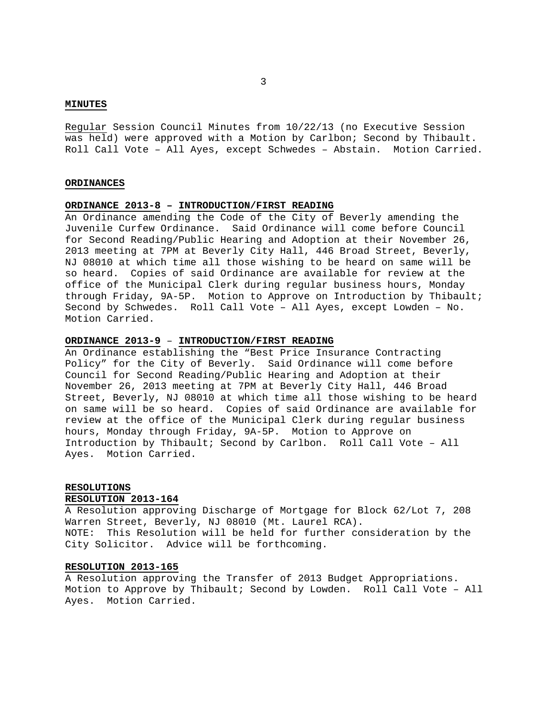#### **MINUTES**

Regular Session Council Minutes from 10/22/13 (no Executive Session was held) were approved with a Motion by Carlbon; Second by Thibault. Roll Call Vote – All Ayes, except Schwedes – Abstain. Motion Carried.

### **ORDINANCES**

## **ORDINANCE 2013-8 – INTRODUCTION/FIRST READING**

An Ordinance amending the Code of the City of Beverly amending the Juvenile Curfew Ordinance. Said Ordinance will come before Council for Second Reading/Public Hearing and Adoption at their November 26, 2013 meeting at 7PM at Beverly City Hall, 446 Broad Street, Beverly, NJ 08010 at which time all those wishing to be heard on same will be so heard. Copies of said Ordinance are available for review at the office of the Municipal Clerk during regular business hours, Monday through Friday, 9A-5P. Motion to Approve on Introduction by Thibault; Second by Schwedes. Roll Call Vote – All Ayes, except Lowden – No. Motion Carried.

## **ORDINANCE 2013-9** – **INTRODUCTION/FIRST READING**

An Ordinance establishing the "Best Price Insurance Contracting Policy" for the City of Beverly. Said Ordinance will come before Council for Second Reading/Public Hearing and Adoption at their November 26, 2013 meeting at 7PM at Beverly City Hall, 446 Broad Street, Beverly, NJ 08010 at which time all those wishing to be heard on same will be so heard. Copies of said Ordinance are available for review at the office of the Municipal Clerk during regular business hours, Monday through Friday, 9A-5P. Motion to Approve on Introduction by Thibault; Second by Carlbon. Roll Call Vote – All Ayes. Motion Carried.

#### **RESOLUTIONS**

#### **RESOLUTION 2013-164**

A Resolution approving Discharge of Mortgage for Block 62/Lot 7, 208 Warren Street, Beverly, NJ 08010 (Mt. Laurel RCA). NOTE: This Resolution will be held for further consideration by the City Solicitor. Advice will be forthcoming.

## **RESOLUTION 2013-165**

A Resolution approving the Transfer of 2013 Budget Appropriations. Motion to Approve by Thibault; Second by Lowden. Roll Call Vote – All Ayes. Motion Carried.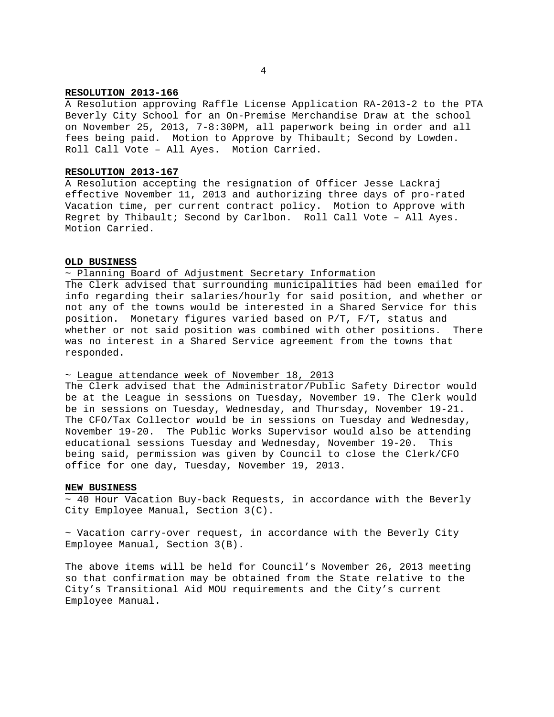### **RESOLUTION 2013-166**

A Resolution approving Raffle License Application RA-2013-2 to the PTA Beverly City School for an On-Premise Merchandise Draw at the school on November 25, 2013, 7-8:30PM, all paperwork being in order and all fees being paid. Motion to Approve by Thibault; Second by Lowden. Roll Call Vote – All Ayes. Motion Carried.

### **RESOLUTION 2013-167**

A Resolution accepting the resignation of Officer Jesse Lackraj effective November 11, 2013 and authorizing three days of pro-rated Vacation time, per current contract policy. Motion to Approve with Regret by Thibault; Second by Carlbon. Roll Call Vote – All Ayes. Motion Carried.

#### **OLD BUSINESS**

## ~ Planning Board of Adjustment Secretary Information

The Clerk advised that surrounding municipalities had been emailed for info regarding their salaries/hourly for said position, and whether or not any of the towns would be interested in a Shared Service for this position. Monetary figures varied based on P/T, F/T, status and whether or not said position was combined with other positions. There was no interest in a Shared Service agreement from the towns that responded.

#### ~ League attendance week of November 18, 2013

The Clerk advised that the Administrator/Public Safety Director would be at the League in sessions on Tuesday, November 19. The Clerk would be in sessions on Tuesday, Wednesday, and Thursday, November 19-21. The CFO/Tax Collector would be in sessions on Tuesday and Wednesday, November 19-20. The Public Works Supervisor would also be attending educational sessions Tuesday and Wednesday, November 19-20. This being said, permission was given by Council to close the Clerk/CFO office for one day, Tuesday, November 19, 2013.

#### **NEW BUSINESS**

 $\sim$  40 Hour Vacation Buy-back Requests, in accordance with the Beverly City Employee Manual, Section 3(C).

 $\sim$  Vacation carry-over request, in accordance with the Beverly City Employee Manual, Section 3(B).

The above items will be held for Council's November 26, 2013 meeting so that confirmation may be obtained from the State relative to the City's Transitional Aid MOU requirements and the City's current Employee Manual.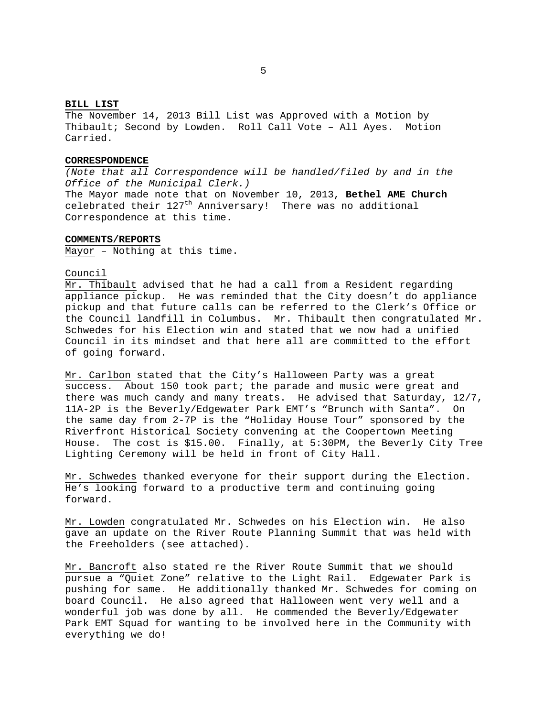## **BILL LIST**

The November 14, 2013 Bill List was Approved with a Motion by Thibault; Second by Lowden. Roll Call Vote – All Ayes. Motion Carried.

#### **CORRESPONDENCE**

*(Note that all Correspondence will be handled/filed by and in the Office of the Municipal Clerk.)*  The Mayor made note that on November 10, 2013, **Bethel AME Church** celebrated their 127<sup>th</sup> Anniversary! There was no additional Correspondence at this time.

## **COMMENTS/REPORTS**

Mayor – Nothing at this time.

#### Council

Mr. Thibault advised that he had a call from a Resident regarding appliance pickup. He was reminded that the City doesn't do appliance pickup and that future calls can be referred to the Clerk's Office or the Council landfill in Columbus. Mr. Thibault then congratulated Mr. Schwedes for his Election win and stated that we now had a unified Council in its mindset and that here all are committed to the effort of going forward.

Mr. Carlbon stated that the City's Halloween Party was a great success. About 150 took part; the parade and music were great and there was much candy and many treats. He advised that Saturday, 12/7, 11A-2P is the Beverly/Edgewater Park EMT's "Brunch with Santa". On the same day from 2-7P is the "Holiday House Tour" sponsored by the Riverfront Historical Society convening at the Coopertown Meeting House. The cost is \$15.00. Finally, at 5:30PM, the Beverly City Tree Lighting Ceremony will be held in front of City Hall.

Mr. Schwedes thanked everyone for their support during the Election. He's looking forward to a productive term and continuing going forward.

Mr. Lowden congratulated Mr. Schwedes on his Election win. He also gave an update on the River Route Planning Summit that was held with the Freeholders (see attached).

Mr. Bancroft also stated re the River Route Summit that we should pursue a "Quiet Zone" relative to the Light Rail. Edgewater Park is pushing for same. He additionally thanked Mr. Schwedes for coming on board Council. He also agreed that Halloween went very well and a wonderful job was done by all. He commended the Beverly/Edgewater Park EMT Squad for wanting to be involved here in the Community with everything we do!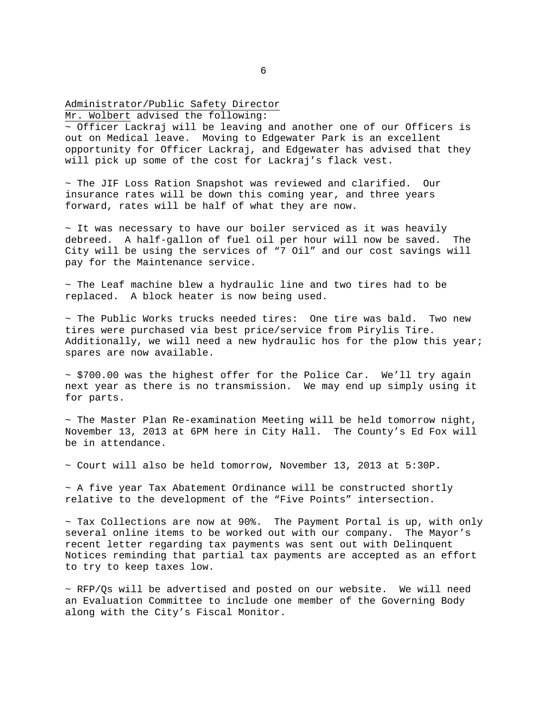## Administrator/Public Safety Director

Mr. Wolbert advised the following:

~ Officer Lackraj will be leaving and another one of our Officers is out on Medical leave. Moving to Edgewater Park is an excellent opportunity for Officer Lackraj, and Edgewater has advised that they will pick up some of the cost for Lackraj's flack vest.

~ The JIF Loss Ration Snapshot was reviewed and clarified. Our insurance rates will be down this coming year, and three years forward, rates will be half of what they are now.

 $\sim$  It was necessary to have our boiler serviced as it was heavily debreed. A half-gallon of fuel oil per hour will now be saved. The City will be using the services of "7 Oil" and our cost savings will pay for the Maintenance service.

~ The Leaf machine blew a hydraulic line and two tires had to be replaced. A block heater is now being used.

 $\sim$  The Public Works trucks needed tires: One tire was bald. Two new tires were purchased via best price/service from Pirylis Tire. Additionally, we will need a new hydraulic hos for the plow this year; spares are now available.

 $\sim$  \$700.00 was the highest offer for the Police Car. We'll try again next year as there is no transmission. We may end up simply using it for parts.

~ The Master Plan Re-examination Meeting will be held tomorrow night, November 13, 2013 at 6PM here in City Hall. The County's Ed Fox will be in attendance.

 $\sim$  Court will also be held tomorrow, November 13, 2013 at 5:30P.

 $~\sim$  A five year Tax Abatement Ordinance will be constructed shortly relative to the development of the "Five Points" intersection.

 $\sim$  Tax Collections are now at 90%. The Payment Portal is up, with only several online items to be worked out with our company. The Mayor's recent letter regarding tax payments was sent out with Delinquent Notices reminding that partial tax payments are accepted as an effort to try to keep taxes low.

 $\sim$  RFP/Qs will be advertised and posted on our website. We will need an Evaluation Committee to include one member of the Governing Body along with the City's Fiscal Monitor.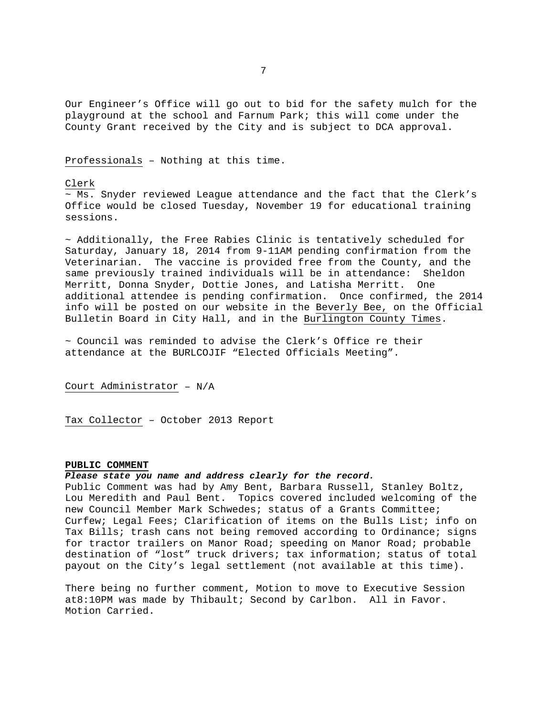Our Engineer's Office will go out to bid for the safety mulch for the playground at the school and Farnum Park; this will come under the County Grant received by the City and is subject to DCA approval.

Professionals – Nothing at this time.

#### Clerk

 $~\sim$  Ms. Snyder reviewed League attendance and the fact that the Clerk's Office would be closed Tuesday, November 19 for educational training sessions.

 $\sim$  Additionally, the Free Rabies Clinic is tentatively scheduled for Saturday, January 18, 2014 from 9-11AM pending confirmation from the Veterinarian. The vaccine is provided free from the County, and the same previously trained individuals will be in attendance: Sheldon Merritt, Donna Snyder, Dottie Jones, and Latisha Merritt. One additional attendee is pending confirmation. Once confirmed, the 2014 info will be posted on our website in the Beverly Bee, on the Official Bulletin Board in City Hall, and in the Burlington County Times.

 $\sim$  Council was reminded to advise the Clerk's Office re their attendance at the BURLCOJIF "Elected Officials Meeting".

Court Administrator – N/A

Tax Collector – October 2013 Report

## **PUBLIC COMMENT**

## *Please state you name and address clearly for the record.*

Public Comment was had by Amy Bent, Barbara Russell, Stanley Boltz, Lou Meredith and Paul Bent. Topics covered included welcoming of the new Council Member Mark Schwedes; status of a Grants Committee; Curfew; Legal Fees; Clarification of items on the Bulls List; info on Tax Bills; trash cans not being removed according to Ordinance; signs for tractor trailers on Manor Road; speeding on Manor Road; probable destination of "lost" truck drivers; tax information; status of total payout on the City's legal settlement (not available at this time).

There being no further comment, Motion to move to Executive Session at8:10PM was made by Thibault; Second by Carlbon. All in Favor. Motion Carried.